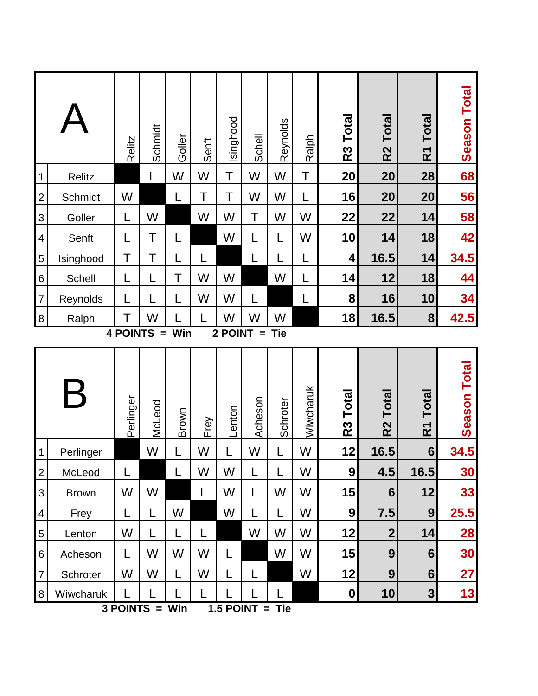|                                                               |              | Relitz         | Schmidt | Goller | Senft        | Isinghood | <b>Schell</b>     | Reynolds | Ralph     | R <sub>3</sub> Total | <b>Total</b><br>R <sub>2</sub> | <b>Total</b><br>$\tilde{\mathbf{R}}$    | <b>Season Total</b> |
|---------------------------------------------------------------|--------------|----------------|---------|--------|--------------|-----------|-------------------|----------|-----------|----------------------|--------------------------------|-----------------------------------------|---------------------|
| $\mathbf 1$                                                   | Relitz       |                | L       | W      | W            | Τ         | W                 | W        | Τ         | 20                   | 20                             | 28                                      | 68                  |
| $\overline{2}$                                                | Schmidt      | W              |         |        | Τ            | Τ         | W                 | W        |           | 16                   | 20                             | 20                                      | 56                  |
| 3                                                             | Goller       | L              | W       |        | W            | W         | Τ                 | W        | W         | 22                   | 22                             | 14                                      | 58                  |
| $\overline{\mathcal{A}}$                                      | Senft        | L              | Τ       |        |              | W         |                   |          | W         | 10                   | 14                             | 18                                      | 42                  |
| 5                                                             | Isinghood    | Τ              | Τ       | L      |              |           |                   |          |           | 4                    | 16.5                           | 14                                      | 34.5                |
| $\,6$                                                         | Schell       | L              |         | Τ      | W            | W         |                   | W        |           | 14                   | 12                             | 18                                      | 44                  |
| $\overline{7}$                                                | Reynolds     | L              |         |        | W            | W         |                   |          | L         | 8                    | 16                             | 10                                      | 34                  |
| $\,8\,$                                                       | Ralph        | Τ              | W       |        |              | W         | W                 | W        |           | 18                   | 16.5                           | 8                                       | 42.5                |
| <b>4 POINTS</b><br>2 POINT<br>Win<br><b>Tie</b><br>$=$<br>$=$ |              |                |         |        |              |           |                   |          |           |                      |                                |                                         |                     |
|                                                               |              | Perlinger      | McLeod  | Brown  | Frey         | Lenton    | Acheson           | Schroter | Wiwcharuk | R <sub>3</sub> Total | <b>Total</b><br>R <sub>2</sub> | <b>Total</b><br>$\overline{\mathsf{R}}$ | <b>Season Total</b> |
| $\mathbf 1$                                                   | Perlinger    |                | W       | L      | W            |           | W                 |          | W         | 12                   | 16.5                           | $6\phantom{1}$                          | 34.5                |
| $\overline{2}$                                                | McLeod       |                |         | L      | W            | W         |                   |          | W         | 9                    | 4.5                            | 16.5                                    | 30                  |
| 3                                                             | <b>Brown</b> | W              | W       |        | L            | W         |                   | W        | W         | 15                   | 6                              | 12                                      | 33                  |
| $\overline{4}$                                                | Frey         | L              | L       | W      |              | W         | L                 | L        | W         | 9                    | 7.5                            | 9                                       | 25.5                |
| 5                                                             | Lenton       | W              | L       | L      | $\mathsf{L}$ |           | W                 | W        | W         | 12                   | $\mathbf{2}$                   | 14                                      | 28                  |
| $6\,$                                                         | Acheson      | L              | W       | W      | W            | L         |                   | W        | W         | 15                   | 9                              | $6 \overline{6}$                        | 30                  |
| $\overline{7}$                                                | Schroter     | W              | W       | L      | W            | L         |                   |          | W         | 12                   | 9                              | 6 <sup>1</sup>                          | 27                  |
| $\,8\,$                                                       | Wiwcharuk    | 3 POINTS = Win |         |        |              |           | $1.5$ POINT = Tie |          |           | 0                    | 10 <sup>1</sup>                | $\overline{\mathbf{3}}$                 | 13                  |